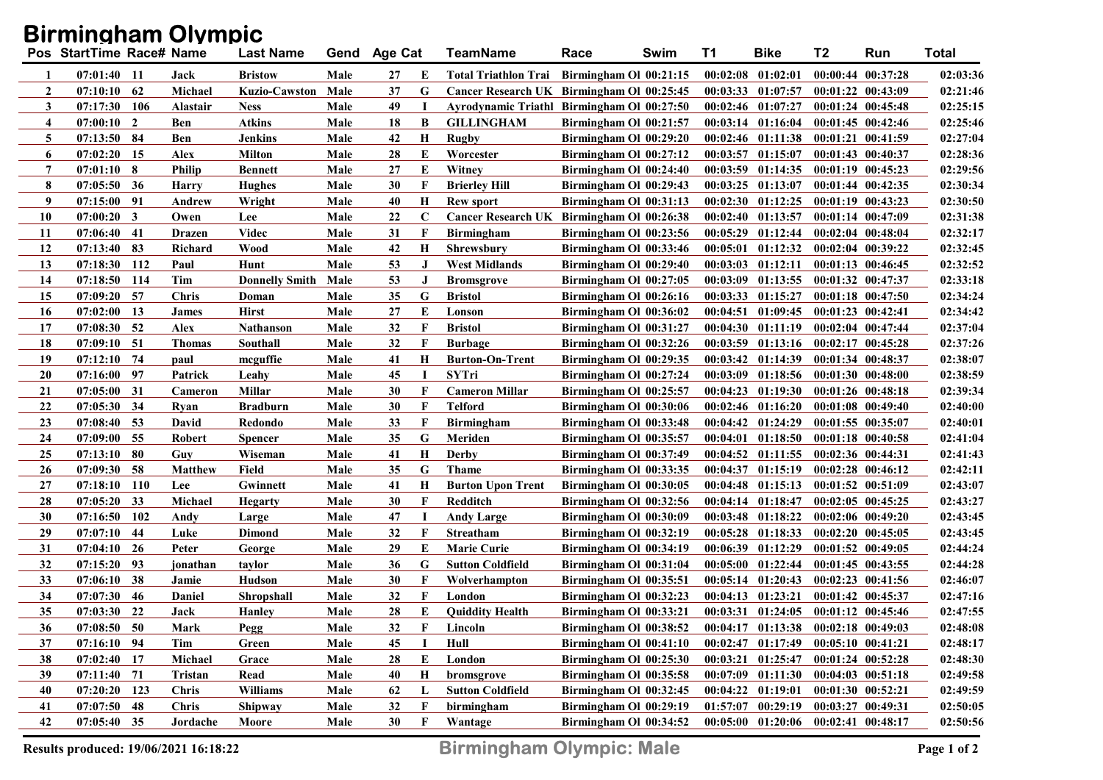## Birmingham Olympic

|                | Pos StartTime Race# Name |            |                | <b>Last Name</b>      | Gend | <b>Age Cat</b> |          | <b>TeamName</b>                             | Race                   | Swim | <b>T1</b> | <b>Bike</b>                                 | T <sub>2</sub>        | Run | <b>Total</b> |
|----------------|--------------------------|------------|----------------|-----------------------|------|----------------|----------|---------------------------------------------|------------------------|------|-----------|---------------------------------------------|-----------------------|-----|--------------|
| -1             | $07:01:40$ 11            |            | Jack           | <b>Bristow</b>        | Male | 27             | E        | Total Triathlon Trai Birmingham Ol 00:21:15 |                        |      |           | $00:02:08$ $01:02:01$                       | $00:00:44$ $00:37:28$ |     | 02:03:36     |
| 2              | $07:10:10$ 62            |            | Michael        | Kuzio-Cawston         | Male | 37             | G        | Cancer Research UK Birmingham Ol 00:25:45   |                        |      |           | $00:03:33$ $01:07:57$ $00:01:22$ $00:43:09$ |                       |     | 02:21:46     |
| 3              | 07:17:30                 | 106        | Alastair       | <b>Ness</b>           | Male | 49             | Н        | Ayrodynamic Triathl Birmingham Ol 00:27:50  |                        |      |           | $00:02:46$ $01:07:27$                       | $00:01:24$ $00:45:48$ |     | 02:25:15     |
| $\overline{4}$ | $07:00:10$ 2             |            | Ben            | <b>Atkins</b>         | Male | 18             | B        | <b>GILLINGHAM</b>                           | Birmingham Ol 00:21:57 |      |           | $00:03:14$ $01:16:04$                       | $00:01:45$ $00:42:46$ |     | 02:25:46     |
| 5              | $07:13:50$ 84            |            | Ben            | <b>Jenkins</b>        | Male | 42             | Н        | Rugby                                       | Birmingham Ol 00:29:20 |      |           | $00:02:46$ $01:11:38$                       | $00:01:21$ $00:41:59$ |     | 02:27:04     |
| 6              | 07:02:20                 | 15         | Alex           | <b>Milton</b>         | Male | 28             | E        | Worcester                                   | Birmingham Ol 00:27:12 |      | 00:03:57  | 01:15:07                                    | $00:01:43$ $00:40:37$ |     | 02:28:36     |
| 7              | $07:01:10$ 8             |            | Philip         | <b>Bennett</b>        | Male | 27             | E        | Witney                                      | Birmingham Ol 00:24:40 |      | 00:03:59  | $01:14:35$ $00:01:19$ $00:45:23$            |                       |     | 02:29:56     |
| 8              | $07:05:50$ 36            |            | <b>Harry</b>   | <b>Hughes</b>         | Male | 30             | F        | <b>Brierley Hill</b>                        | Birmingham Ol 00:29:43 |      |           | $00:03:25$ $01:13:07$                       | $00:01:44$ $00:42:35$ |     | 02:30:34     |
| 9              | 07:15:00 91              |            | Andrew         | Wright                | Male | 40             | Н        | <b>Rew sport</b>                            | Birmingham Ol 00:31:13 |      | 00:02:30  | $01:12:25$ $00:01:19$ $00:43:23$            |                       |     | 02:30:50     |
| 10             | $07:00:20$ 3             |            | Owen           | Lee                   | Male | 22             | C        | Cancer Research UK Birmingham Ol 00:26:38   |                        |      | 00:02:40  | 01:13:57                                    | $00:01:14$ $00:47:09$ |     | 02:31:38     |
| 11             | 07:06:40 41              |            | <b>Drazen</b>  | <b>Videc</b>          | Male | 31             | F        | <b>Birmingham</b>                           | Birmingham Ol 00:23:56 |      | 00:05:29  | 01:12:44                                    | $00:02:04$ $00:48:04$ |     | 02:32:17     |
| 12             | 07:13:40                 | 83         | Richard        | <b>Wood</b>           | Male | 42             | H        | <b>Shrewsbury</b>                           | Birmingham Ol 00:33:46 |      | 00:05:01  | 01:12:32                                    | 00:02:04 00:39:22     |     | 02:32:45     |
| 13             | 07:18:30                 | 112        | Paul           | Hunt                  | Male | 53             | J        | <b>West Midlands</b>                        | Birmingham Ol 00:29:40 |      | 00:03:03  | 01:12:11                                    | $00:01:13$ $00:46:45$ |     | 02:32:52     |
| 14             | 07:18:50                 | 114        | Tim            | <b>Donnelly Smith</b> | Male | 53             | J        | <b>Bromsgrove</b>                           | Birmingham Ol 00:27:05 |      | 00:03:09  | 01:13:55                                    | $00:01:32$ $00:47:37$ |     | 02:33:18     |
| 15             | $07:09:20$ 57            |            | Chris          | Doman                 | Male | 35             | G        | <b>Bristol</b>                              | Birmingham Ol 00:26:16 |      |           | $00:03:33$ $01:15:27$                       | $00:01:18$ $00:47:50$ |     | 02:34:24     |
| 16             | 07:02:00                 | 13         | <b>James</b>   | <b>Hirst</b>          | Male | 27             | E        | Lonson                                      | Birmingham Ol 00:36:02 |      | 00:04:51  | 01:09:45                                    | $00:01:23$ $00:42:41$ |     | 02:34:42     |
| 17             | $07:08:30$ 52            |            | Alex           | <b>Nathanson</b>      | Male | 32             | F        | <b>Bristol</b>                              | Birmingham Ol 00:31:27 |      | 00:04:30  | 01:11:19                                    | $00:02:04$ $00:47:44$ |     | 02:37:04     |
| 18             | $07:09:10$ 51            |            | <b>Thomas</b>  | Southall              | Male | 32             | F        | <b>Burbage</b>                              | Birmingham Ol 00:32:26 |      | 00:03:59  | 01:13:16                                    | $00:02:17$ $00:45:28$ |     | 02:37:26     |
| 19             | $07:12:10$ 74            |            | paul           | mcguffie              | Male | 41             | $\bf{H}$ | <b>Burton-On-Trent</b>                      | Birmingham Ol 00:29:35 |      | 00:03:42  | 01:14:39                                    | $00:01:34$ $00:48:37$ |     | 02:38:07     |
| 20             | $07:16:00$ 97            |            | Patrick        | Leahy                 | Male | 45             | 1        | <b>SYTri</b>                                | Birmingham Ol 00:27:24 |      | 00:03:09  | 01:18:56                                    | $00:01:30$ $00:48:00$ |     | 02:38:59     |
| 21             | 07:05:00 31              |            | Cameron        | <b>Millar</b>         | Male | 30             | F        | <b>Cameron Millar</b>                       | Birmingham Ol 00:25:57 |      | 00:04:23  | 01:19:30                                    | $00:01:26$ $00:48:18$ |     | 02:39:34     |
| 22             | 07:05:30 34              |            | Ryan           | <b>Bradburn</b>       | Male | 30             | F        | <b>Telford</b>                              | Birmingham Ol 00:30:06 |      |           | $00:02:46$ $01:16:20$                       | $00:01:08$ $00:49:40$ |     | 02:40:00     |
| 23             | $07:08:40$ 53            |            | David          | Redondo               | Male | 33             | F        | <b>Birmingham</b>                           | Birmingham Ol 00:33:48 |      |           | $00:04:42$ $01:24:29$                       | $00:01:55$ $00:35:07$ |     | 02:40:01     |
| 24             | 07:09:00 55              |            | <b>Robert</b>  | Spencer               | Male | 35             | G        | Meriden                                     | Birmingham Ol 00:35:57 |      | 00:04:01  | 01:18:50                                    | $00:01:18$ $00:40:58$ |     | 02:41:04     |
| 25             | $07:13:10$ 80            |            | Guy            | Wiseman               | Male | 41             | Н        | Derby                                       | Birmingham Ol 00:37:49 |      |           | $00:04:52$ $01:11:55$ $00:02:36$ $00:44:31$ |                       |     | 02:41:43     |
| 26             | 07:09:30                 | - 58       | <b>Matthew</b> | Field                 | Male | 35             | G        | Thame                                       | Birmingham Ol 00:33:35 |      | 00:04:37  | 01:15:19                                    | $00:02:28$ $00:46:12$ |     | 02:42:11     |
| 27             | 07:18:10                 | <b>110</b> | Lee            | Gwinnett              | Male | 41             | Н        | <b>Burton Upon Trent</b>                    | Birmingham Ol 00:30:05 |      |           | $00:04:48$ $01:15:13$                       | $00:01:52$ $00:51:09$ |     | 02:43:07     |
| 28             | 07:05:20                 | 33         | Michael        | <b>Hegarty</b>        | Male | 30             | F        | Redditch                                    | Birmingham Ol 00:32:56 |      |           | $00:04:14$ $01:18:47$                       | $00:02:05$ $00:45:25$ |     | 02:43:27     |
| 30             | 07:16:50                 | 102        | Andy           | Large                 | Male | 47             | 1        | Andy Large                                  | Birmingham Ol 00:30:09 |      |           | $00:03:48$ $01:18:22$                       | $00:02:06$ $00:49:20$ |     | 02:43:45     |
| 29             | 07:07:10                 | -44        | Luke           | Dimond                | Male | 32             | F        | <b>Streatham</b>                            | Birmingham Ol 00:32:19 |      |           | $00:05:28$ $01:18:33$                       | $00:02:20$ $00:45:05$ |     | 02:43:45     |
| 31             | $07:04:10$ 26            |            | Peter          | George                | Male | 29             | E        | <b>Marie Curie</b>                          | Birmingham Ol 00:34:19 |      | 00:06:39  | 01:12:29                                    | $00:01:52$ $00:49:05$ |     | 02:44:24     |
| 32             | 07:15:20                 | -93        | jonathan       | taylor                | Male | 36             | G        | <b>Sutton Coldfield</b>                     | Birmingham Ol 00:31:04 |      | 00:05:00  | 01:22:44                                    | $00:01:45$ $00:43:55$ |     | 02:44:28     |
| 33             | 07:06:10                 | 38         | Jamie          | Hudson                | Male | 30             | F        | Wolverhampton                               | Birmingham Ol 00:35:51 |      |           | $00:05:14$ $01:20:43$                       | $00:02:23$ $00:41:56$ |     | 02:46:07     |
| 34             | 07:07:30                 | -46        | Daniel         | Shropshall            | Male | 32             | F        | London                                      | Birmingham Ol 00:32:23 |      | 00:04:13  | 01:23:21                                    | $00:01:42$ $00:45:37$ |     | 02:47:16     |
| 35             | 07:03:30                 | 22         | Jack           | <b>Hanley</b>         | Male | 28             | Е        | <b>Quiddity Health</b>                      | Birmingham Ol 00:33:21 |      | 00:03:31  | 01:24:05                                    | $00:01:12$ $00:45:46$ |     | 02:47:55     |
| 36             | 07:08:50                 | 50         | Mark           | Pegg                  | Male | 32             | F        | Lincoln                                     | Birmingham Ol 00:38:52 |      |           | $00:04:17$ $01:13:38$                       | $00:02:18$ $00:49:03$ |     | 02:48:08     |
| 37             | $07:16:10$ 94            |            | Tim            | Green                 | Male | 45             | 1        | Hull                                        | Birmingham Ol 00:41:10 |      |           | $00:02:47$ $01:17:49$ $00:05:10$ $00:41:21$ |                       |     | 02:48:17     |
| 38             | $07:02:40$ 17            |            | Michael        | Grace                 | Male | 28             | E        | London                                      | Birmingham Ol 00:25:30 |      | 00:03:21  | 01:25:47                                    | $00:01:24$ $00:52:28$ |     | 02:48:30     |
| 39             | 07:11:40 71              |            | Tristan        | Read                  | Male | 40             | Н        | bromsgrove                                  | Birmingham Ol 00:35:58 |      |           | 00:07:09 01:11:30 00:04:03 00:51:18         |                       |     | 02:49:58     |
| 40             | $07:20:20$ 123           |            | <b>Chris</b>   | <b>Williams</b>       | Male | 62             | L        | <b>Sutton Coldfield</b>                     | Birmingham Ol 00:32:45 |      |           | $00:04:22$ $01:19:01$                       | $00:01:30$ $00:52:21$ |     | 02:49:59     |
| 41             | $07:07:50$ 48            |            | <b>Chris</b>   | Shipway               | Male | 32             | F        | birmingham                                  | Birmingham Ol 00:29:19 |      |           | $01:57:07$ $00:29:19$                       | $00:03:27$ $00:49:31$ |     | 02:50:05     |
| 42             | $07:05:40$ 35            |            | Jordache       | Moore                 | Male | 30             | F        | Wantage                                     | Birmingham Ol 00:34:52 |      |           | 00:05:00 01:20:06 00:02:41 00:48:17         |                       |     | 02:50:56     |